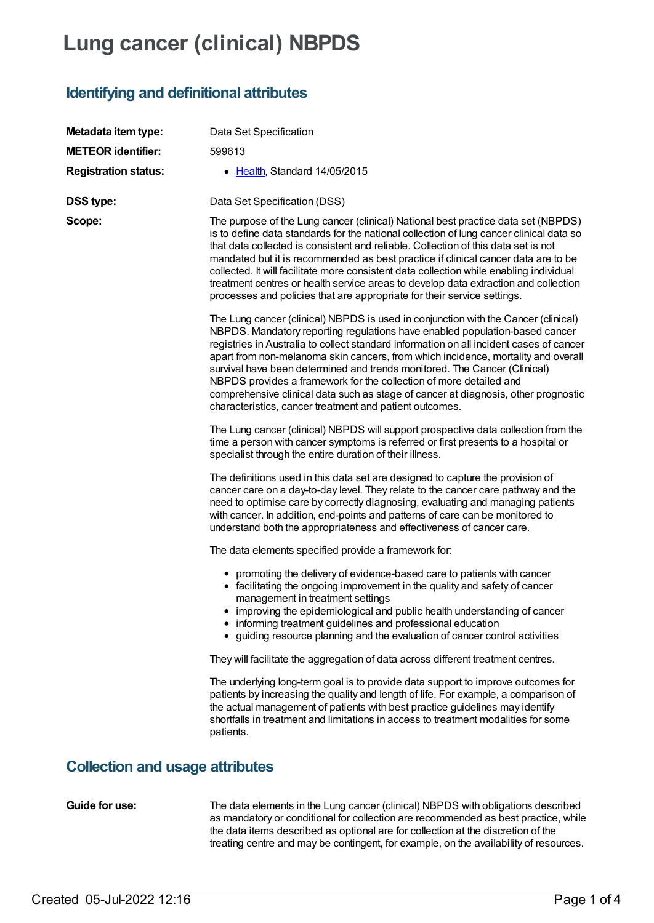## **Lung cancer (clinical) NBPDS**

## **Identifying and definitional attributes**

| Metadata item type:                    | Data Set Specification                                                                                                                                                                                                                                                                                                                                                                                                                                                                                                                                                                                                                                |  |  |  |
|----------------------------------------|-------------------------------------------------------------------------------------------------------------------------------------------------------------------------------------------------------------------------------------------------------------------------------------------------------------------------------------------------------------------------------------------------------------------------------------------------------------------------------------------------------------------------------------------------------------------------------------------------------------------------------------------------------|--|--|--|
| <b>METEOR identifier:</b>              | 599613                                                                                                                                                                                                                                                                                                                                                                                                                                                                                                                                                                                                                                                |  |  |  |
| <b>Registration status:</b>            | • Health, Standard 14/05/2015                                                                                                                                                                                                                                                                                                                                                                                                                                                                                                                                                                                                                         |  |  |  |
| <b>DSS type:</b>                       | Data Set Specification (DSS)                                                                                                                                                                                                                                                                                                                                                                                                                                                                                                                                                                                                                          |  |  |  |
| Scope:                                 | The purpose of the Lung cancer (clinical) National best practice data set (NBPDS)<br>is to define data standards for the national collection of lung cancer clinical data so<br>that data collected is consistent and reliable. Collection of this data set is not<br>mandated but it is recommended as best practice if clinical cancer data are to be<br>collected. It will facilitate more consistent data collection while enabling individual<br>treatment centres or health service areas to develop data extraction and collection<br>processes and policies that are appropriate for their service settings.                                  |  |  |  |
|                                        | The Lung cancer (clinical) NBPDS is used in conjunction with the Cancer (clinical)<br>NBPDS. Mandatory reporting regulations have enabled population-based cancer<br>registries in Australia to collect standard information on all incident cases of cancer<br>apart from non-melanoma skin cancers, from which incidence, mortality and overall<br>survival have been determined and trends monitored. The Cancer (Clinical)<br>NBPDS provides a framework for the collection of more detailed and<br>comprehensive clinical data such as stage of cancer at diagnosis, other prognostic<br>characteristics, cancer treatment and patient outcomes. |  |  |  |
|                                        | The Lung cancer (clinical) NBPDS will support prospective data collection from the<br>time a person with cancer symptoms is referred or first presents to a hospital or<br>specialist through the entire duration of their illness.                                                                                                                                                                                                                                                                                                                                                                                                                   |  |  |  |
|                                        | The definitions used in this data set are designed to capture the provision of<br>cancer care on a day-to-day level. They relate to the cancer care pathway and the<br>need to optimise care by correctly diagnosing, evaluating and managing patients<br>with cancer. In addition, end-points and patterns of care can be monitored to<br>understand both the appropriateness and effectiveness of cancer care.                                                                                                                                                                                                                                      |  |  |  |
|                                        | The data elements specified provide a framework for:                                                                                                                                                                                                                                                                                                                                                                                                                                                                                                                                                                                                  |  |  |  |
|                                        | • promoting the delivery of evidence-based care to patients with cancer<br>• facilitating the ongoing improvement in the quality and safety of cancer<br>management in treatment settings<br>• improving the epidemiological and public health understanding of cancer<br>• informing treatment guidelines and professional education<br>• guiding resource planning and the evaluation of cancer control activities                                                                                                                                                                                                                                  |  |  |  |
|                                        | They will facilitate the aggregation of data across different treatment centres.                                                                                                                                                                                                                                                                                                                                                                                                                                                                                                                                                                      |  |  |  |
|                                        | The underlying long-term goal is to provide data support to improve outcomes for<br>patients by increasing the quality and length of life. For example, a comparison of<br>the actual management of patients with best practice guidelines may identify<br>shortfalls in treatment and limitations in access to treatment modalities for some<br>patients.                                                                                                                                                                                                                                                                                            |  |  |  |
| <b>Collection and usage attributes</b> |                                                                                                                                                                                                                                                                                                                                                                                                                                                                                                                                                                                                                                                       |  |  |  |

**Guide for use:** The data elements in the Lung cancer (clinical) NBPDS with obligations described as mandatory or conditional for collection are recommended as best practice, while the data items described as optional are for collection at the discretion of the treating centre and may be contingent, for example, on the availability of resources.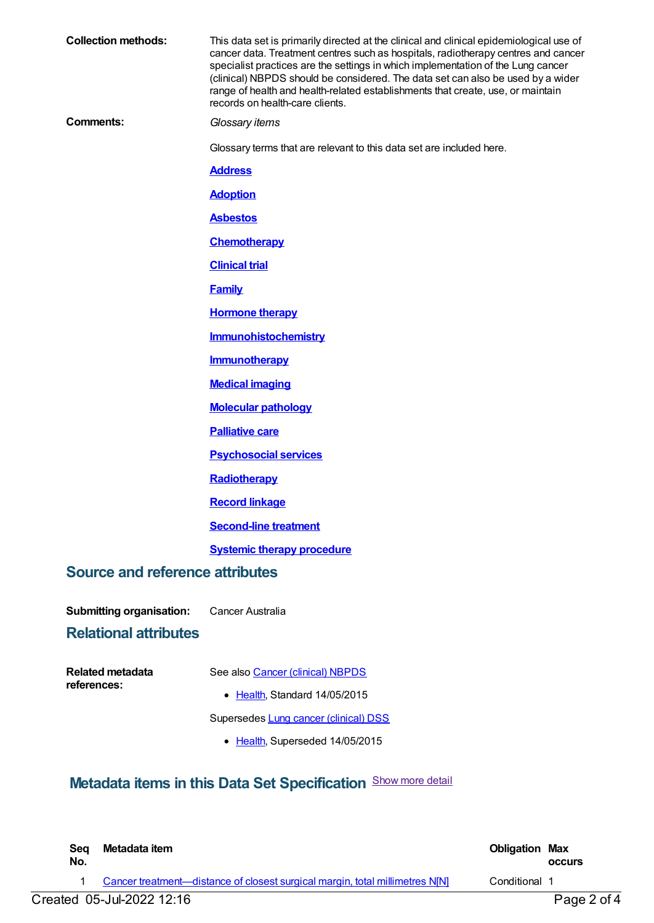| <b>Collection methods:</b>             | This data set is primarily directed at the clinical and clinical epidemiological use of<br>cancer data. Treatment centres such as hospitals, radiotherapy centres and cancer<br>specialist practices are the settings in which implementation of the Lung cancer<br>(clinical) NBPDS should be considered. The data set can also be used by a wider<br>range of health and health-related establishments that create, use, or maintain<br>records on health-care clients. |
|----------------------------------------|---------------------------------------------------------------------------------------------------------------------------------------------------------------------------------------------------------------------------------------------------------------------------------------------------------------------------------------------------------------------------------------------------------------------------------------------------------------------------|
| <b>Comments:</b>                       | Glossary items                                                                                                                                                                                                                                                                                                                                                                                                                                                            |
|                                        | Glossary terms that are relevant to this data set are included here.                                                                                                                                                                                                                                                                                                                                                                                                      |
|                                        | <b>Address</b>                                                                                                                                                                                                                                                                                                                                                                                                                                                            |
|                                        | <b>Adoption</b>                                                                                                                                                                                                                                                                                                                                                                                                                                                           |
|                                        | <b>Asbestos</b>                                                                                                                                                                                                                                                                                                                                                                                                                                                           |
|                                        | <b>Chemotherapy</b>                                                                                                                                                                                                                                                                                                                                                                                                                                                       |
|                                        | <b>Clinical trial</b>                                                                                                                                                                                                                                                                                                                                                                                                                                                     |
|                                        | <b>Family</b>                                                                                                                                                                                                                                                                                                                                                                                                                                                             |
|                                        | <b>Hormone therapy</b>                                                                                                                                                                                                                                                                                                                                                                                                                                                    |
|                                        | <b>Immunohistochemistry</b>                                                                                                                                                                                                                                                                                                                                                                                                                                               |
|                                        | <b>Immunotherapy</b>                                                                                                                                                                                                                                                                                                                                                                                                                                                      |
|                                        | <b>Medical imaging</b>                                                                                                                                                                                                                                                                                                                                                                                                                                                    |
|                                        | <b>Molecular pathology</b>                                                                                                                                                                                                                                                                                                                                                                                                                                                |
|                                        | <b>Palliative care</b>                                                                                                                                                                                                                                                                                                                                                                                                                                                    |
|                                        | <b>Psychosocial services</b>                                                                                                                                                                                                                                                                                                                                                                                                                                              |
|                                        | Radiotherapy                                                                                                                                                                                                                                                                                                                                                                                                                                                              |
|                                        | <b>Record linkage</b>                                                                                                                                                                                                                                                                                                                                                                                                                                                     |
|                                        | <b>Second-line treatment</b>                                                                                                                                                                                                                                                                                                                                                                                                                                              |
|                                        | <b>Systemic therapy procedure</b>                                                                                                                                                                                                                                                                                                                                                                                                                                         |
| <b>Source and reference attributes</b> |                                                                                                                                                                                                                                                                                                                                                                                                                                                                           |
| <b>Submitting organisation:</b>        | Cancer Australia                                                                                                                                                                                                                                                                                                                                                                                                                                                          |
| <b>Relational attributes</b>           |                                                                                                                                                                                                                                                                                                                                                                                                                                                                           |
| <b>Related metadata</b>                | See also Cancer (clinical) NBPDS                                                                                                                                                                                                                                                                                                                                                                                                                                          |
| references:                            | • Health, Standard 14/05/2015                                                                                                                                                                                                                                                                                                                                                                                                                                             |
|                                        | Supersedes Lung cancer (clinical) DSS                                                                                                                                                                                                                                                                                                                                                                                                                                     |
|                                        | • Health, Superseded 14/05/2015                                                                                                                                                                                                                                                                                                                                                                                                                                           |
|                                        | <b>Metadata items in this Data Set Specification Show more detail</b>                                                                                                                                                                                                                                                                                                                                                                                                     |

| Sea<br>No. | Metadata item                                                                | <b>Obligation Max</b> | <b>OCCUIS</b> |
|------------|------------------------------------------------------------------------------|-----------------------|---------------|
|            | Cancer treatment—distance of closest surgical margin, total millimetres N[N] | Conditional 1         |               |
|            | Created 05-Jul-2022 12:16                                                    |                       | Page 2 of 4   |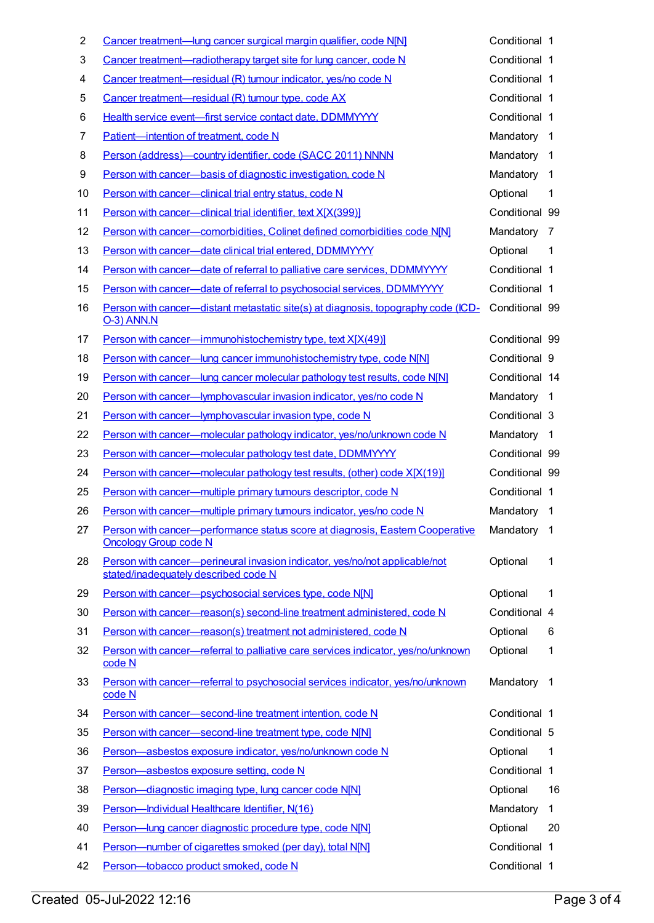| $\overline{\mathbf{c}}$ | Cancer treatment—lung cancer surgical margin qualifier, code N[N]                                                   | Conditional 1  |                |
|-------------------------|---------------------------------------------------------------------------------------------------------------------|----------------|----------------|
| 3                       | Cancer treatment—radiotherapy target site for lung cancer, code N                                                   | Conditional 1  |                |
| 4                       | Cancer treatment-residual (R) tumour indicator, yes/no code N                                                       | Conditional 1  |                |
| 5                       | Cancer treatment-residual (R) tumour type, code AX                                                                  | Conditional 1  |                |
| 6                       | Health service event-first service contact date, DDMMYYYY                                                           | Conditional 1  |                |
| 7                       | Patient-intention of treatment, code N                                                                              | Mandatory 1    |                |
| 8                       | Person (address)-country identifier, code (SACC 2011) NNNN                                                          | Mandatory      | $\overline{1}$ |
| 9                       | Person with cancer-basis of diagnostic investigation, code N                                                        | Mandatory      | 1              |
| 10                      | Person with cancer-clinical trial entry status, code N                                                              | Optional       | 1              |
| 11                      | Person with cancer-clinical trial identifier, text X[X(399)]                                                        | Conditional 99 |                |
| 12                      | Person with cancer-comorbidities, Colinet defined comorbidities code N[N]                                           | Mandatory 7    |                |
| 13                      | Person with cancer-date clinical trial entered, DDMMYYYY                                                            | Optional       | 1              |
| 14                      | Person with cancer-date of referral to palliative care services, DDMMYYYY                                           | Conditional 1  |                |
| 15                      | Person with cancer-date of referral to psychosocial services, DDMMYYYY                                              | Conditional 1  |                |
| 16                      | Person with cancer—distant metastatic site(s) at diagnosis, topography code (ICD-<br><b>O-3) ANN.N</b>              | Conditional 99 |                |
| 17                      | Person with cancer-immunohistochemistry type, text X[X(49)]                                                         | Conditional 99 |                |
| 18                      | Person with cancer-lung cancer immunohistochemistry type, code N[N]                                                 | Conditional 9  |                |
| 19                      | Person with cancer-lung cancer molecular pathology test results, code N[N]                                          | Conditional 14 |                |
| 20                      | Person with cancer-lymphovascular invasion indicator, yes/no code N                                                 | Mandatory 1    |                |
| 21                      | Person with cancer-lymphovascular invasion type, code N                                                             | Conditional 3  |                |
| 22                      | Person with cancer-molecular pathology indicator, yes/no/unknown code N                                             | Mandatory 1    |                |
| 23                      | Person with cancer-molecular pathology test date, DDMMYYYY                                                          | Conditional 99 |                |
| 24                      | Person with cancer—molecular pathology test results, (other) code X[X(19)]                                          | Conditional 99 |                |
| 25                      | Person with cancer-multiple primary tumours descriptor, code N                                                      | Conditional 1  |                |
| 26                      | Person with cancer-multiple primary tumours indicator, yes/no code N                                                | Mandatory 1    |                |
| 27                      | Person with cancer—performance status score at diagnosis, Eastern Cooperative<br><b>Oncology Group code N</b>       | Mandatory 1    |                |
| 28                      | Person with cancer—perineural invasion indicator, yes/no/not applicable/not<br>stated/inadequately described code N | Optional       | 1              |
| 29                      | Person with cancer-psychosocial services type, code N[N]                                                            | Optional       | 1              |
| 30                      | Person with cancer—reason(s) second-line treatment administered, code N                                             | Conditional 4  |                |
| 31                      | Person with cancer-reason(s) treatment not administered, code N                                                     | Optional       | 6              |
| 32                      | Person with cancer-referral to palliative care services indicator, yes/no/unknown<br>code N                         | Optional       | 1              |
| 33                      | Person with cancer—referral to psychosocial services indicator, yes/no/unknown<br>code N                            | Mandatory      | $\mathbf 1$    |
| 34                      | Person with cancer-second-line treatment intention, code N                                                          | Conditional 1  |                |
| 35                      | Person with cancer-second-line treatment type, code N[N]                                                            | Conditional 5  |                |
| 36                      | Person-asbestos exposure indicator, yes/no/unknown code N                                                           | Optional       | 1              |
| 37                      | Person-asbestos exposure setting, code N                                                                            | Conditional 1  |                |
| 38                      | Person-diagnostic imaging type, lung cancer code N[N]                                                               | Optional       | 16             |
| 39                      | Person-Individual Healthcare Identifier, N(16)                                                                      | Mandatory      | $\mathbf 1$    |
| 40                      | Person-lung cancer diagnostic procedure type, code N[N]                                                             | Optional       | 20             |
| 41                      | Person-number of cigarettes smoked (per day), total N[N]                                                            | Conditional 1  |                |
| 42                      | Person-tobacco product smoked, code N                                                                               | Conditional 1  |                |